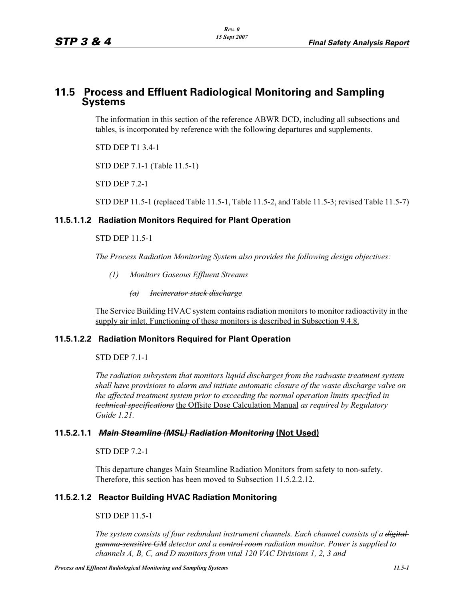# **11.5 Process and Effluent Radiological Monitoring and Sampling Systems**

The information in this section of the reference ABWR DCD, including all subsections and tables, is incorporated by reference with the following departures and supplements.

STD DEP T1 3.4-1

STD DEP 7.1-1 (Table 11.5-1)

STD DEP 7.2-1

STD DEP 11.5-1 (replaced Table 11.5-1, Table 11.5-2, and Table 11.5-3; revised Table 11.5-7)

# **11.5.1.1.2 Radiation Monitors Required for Plant Operation**

STD DEP 11.5-1

*The Process Radiation Monitoring System also provides the following design objectives:*

*(1) Monitors Gaseous Effluent Streams*

*(a) Incinerator stack discharge*

The Service Building HVAC system contains radiation monitors to monitor radioactivity in the supply air inlet. Functioning of these monitors is described in Subsection 9.4.8.

# **11.5.1.2.2 Radiation Monitors Required for Plant Operation**

STD DEP 7.1-1

*The radiation subsystem that monitors liquid discharges from the radwaste treatment system shall have provisions to alarm and initiate automatic closure of the waste discharge valve on the affected treatment system prior to exceeding the normal operation limits specified in technical specifications* the Offsite Dose Calculation Manual *as required by Regulatory Guide 1.21.*

# **11.5.2.1.1** *Main Steamline (MSL) Radiation Monitoring* **(Not Used)**

STD DEP 7.2-1

This departure changes Main Steamline Radiation Monitors from safety to non-safety. Therefore, this section has been moved to Subsection 11.5.2.2.12.

# **11.5.2.1.2 Reactor Building HVAC Radiation Monitoring**

# STD DEP 11.5-1

*The system consists of four redundant instrument channels. Each channel consists of a digital gamma-sensitive GM detector and a control room radiation monitor. Power is supplied to channels A, B, C, and D monitors from vital 120 VAC Divisions 1, 2, 3 and*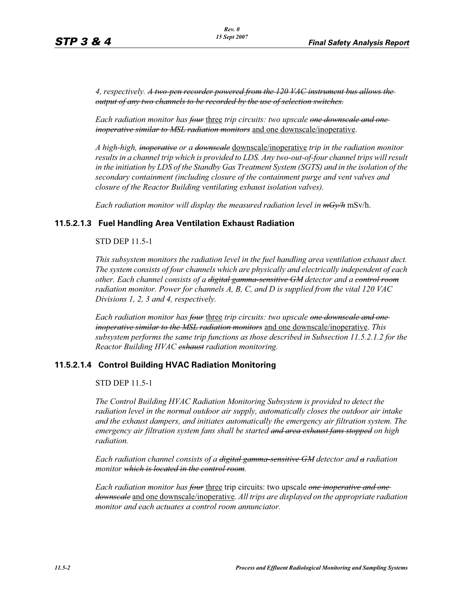*4, respectively. A two-pen recorder powered from the 120 VAC instrument bus allows the output of any two channels to be recorded by the use of selection switches.*

*Each radiation monitor has four* three *trip circuits: two upscale one downscale and one inoperative similar to MSL radiation monitors* and one downscale/inoperative.

*A high-high, inoperative or a downscale* downscale/inoperative *trip in the radiation monitor results in a channel trip which is provided to LDS. Any two-out-of-four channel trips will result in the initiation by LDS of the Standby Gas Treatment System (SGTS) and in the isolation of the secondary containment (including closure of the containment purge and vent valves and closure of the Reactor Building ventilating exhaust isolation valves).*

*Each radiation monitor will display the measured radiation level in mGy/h* mSv/h.

#### **11.5.2.1.3 Fuel Handling Area Ventilation Exhaust Radiation**

### STD DEP 11.5-1

*This subsystem monitors the radiation level in the fuel handling area ventilation exhaust duct. The system consists of four channels which are physically and electrically independent of each other. Each channel consists of a digital gamma-sensitive GM detector and a control room radiation monitor. Power for channels A, B, C, and D is supplied from the vital 120 VAC Divisions 1, 2, 3 and 4, respectively.*

*Each radiation monitor has four* three *trip circuits: two upscale one downscale and one inoperative similar to the MSL radiation monitors* and one downscale/inoperative. *This subsystem performs the same trip functions as those described in Subsection 11.5.2.1.2 for the Reactor Building HVAC exhaust radiation monitoring.*

# **11.5.2.1.4 Control Building HVAC Radiation Monitoring**

#### STD DEP 11.5-1

*The Control Building HVAC Radiation Monitoring Subsystem is provided to detect the radiation level in the normal outdoor air supply, automatically closes the outdoor air intake and the exhaust dampers, and initiates automatically the emergency air filtration system. The emergency air filtration system fans shall be started and area exhaust fans stopped on high radiation.*

*Each radiation channel consists of a digital gamma-sensitive GM detector and a radiation monitor which is located in the control room.*

*Each radiation monitor has four* three trip circuits: two upscale *one inoperative and one downscale* and one downscale/inoperative. *All trips are displayed on the appropriate radiation monitor and each actuates a control room annunciator.*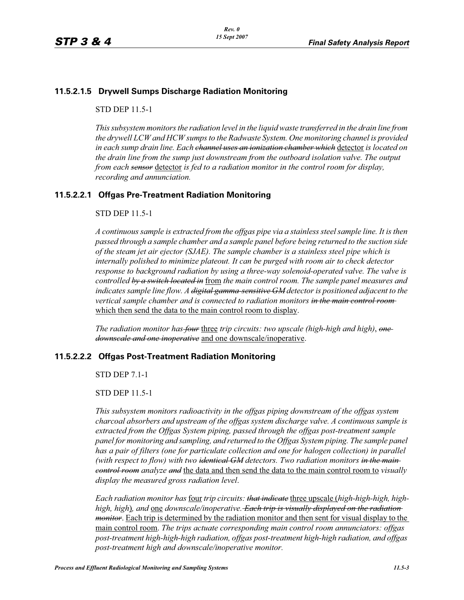# **11.5.2.1.5 Drywell Sumps Discharge Radiation Monitoring**

STD DEP 11.5-1

*This subsystem monitors the radiation level in the liquid waste transferred in the drain line from the drywell LCW and HCW sumps to the Radwaste System. One monitoring channel is provided in each sump drain line. Each channel uses an ionization chamber which* detector *is located on the drain line from the sump just downstream from the outboard isolation valve. The output from each sensor* detector *is fed to a radiation monitor in the control room for display, recording and annunciation.*

# **11.5.2.2.1 Offgas Pre-Treatment Radiation Monitoring**

#### STD DEP 11.5-1

*A continuous sample is extracted from the offgas pipe via a stainless steel sample line. It is then passed through a sample chamber and a sample panel before being returned to the suction side of the steam jet air ejector (SJAE). The sample chamber is a stainless steel pipe which is internally polished to minimize plateout. It can be purged with room air to check detector response to background radiation by using a three-way solenoid-operated valve. The valve is controlled by a switch located in* from *the main control room. The sample panel measures and indicates sample line flow. A digital gamma-sensitive GM detector is positioned adjacent to the vertical sample chamber and is connected to radiation monitors in the main control room*  which then send the data to the main control room to display.

*The radiation monitor has four* three *trip circuits: two upscale (high-high and high)*, *one downscale and one inoperative* and one downscale/inoperative.

#### **11.5.2.2.2 Offgas Post-Treatment Radiation Monitoring**

STD DEP 7.1-1

STD DEP 11.5-1

*This subsystem monitors radioactivity in the offgas piping downstream of the offgas system charcoal absorbers and upstream of the offgas system discharge valve. A continuous sample is extracted from the Offgas System piping, passed through the offgas post-treatment sample panel for monitoring and sampling, and returned to the Offgas System piping. The sample panel has a pair of filters (one for particulate collection and one for halogen collection) in parallel (with respect to flow) with two identical GM detectors. Two radiation monitors in the main control room analyze and* the data and then send the data to the main control room to *visually display the measured gross radiation level*.

*Each radiation monitor has* four *trip circuits: that indicate* three upscale (*high-high-high, highhigh, high*)*, and* one *downscale/inoperative. Each trip is visually displayed on the radiation monitor*. Each trip is determined by the radiation monitor and then sent for visual display to the main control room. *The trips actuate corresponding main control room annunciators: offgas post-treatment high-high-high radiation, offgas post-treatment high-high radiation, and offgas post-treatment high and downscale/inoperative monitor.*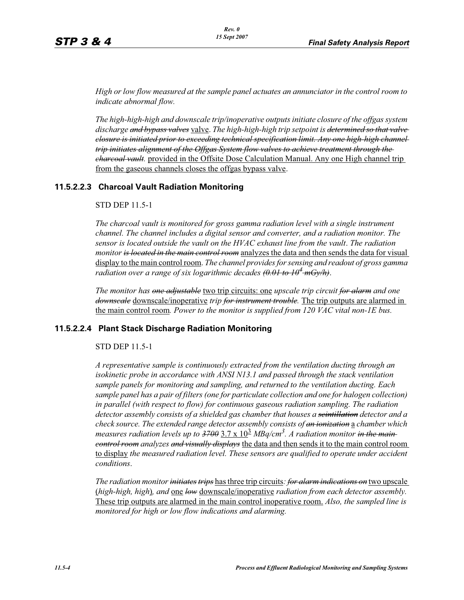*High or low flow measured at the sample panel actuates an annunciator in the control room to indicate abnormal flow.*

*The high-high-high and downscale trip/inoperative outputs initiate closure of the offgas system discharge and bypass valves* valve. *The high-high-high trip setpoint is determined so that valve closure is initiated prior to exceeding technical specification limit. Any one high-high channel trip initiates alignment of the Offgas System flow valves to achieve treatment through the charcoal vault.* provided in the Offsite Dose Calculation Manual. Any one High channel trip from the gaseous channels closes the offgas bypass valve.

# **11.5.2.2.3 Charcoal Vault Radiation Monitoring**

### STD DEP 11.5-1

*The charcoal vault is monitored for gross gamma radiation level with a single instrument channel. The channel includes a digital sensor and converter, and a radiation monitor. The sensor is located outside the vault on the HVAC exhaust line from the vault*. *The radiation monitor is located in the main control room* analyzes the data and then sends the data for visual display to the main control room. *The channel provides for sensing and readout of gross gamma radiation over a range of six logarithmic decades (0.01 to 10<sup>4</sup> mGy/h)*.

*The monitor has one adjustable* two trip circuits: one *upscale trip circuit for alarm and one downscale* downscale/inoperative *trip for instrument trouble.* The trip outputs are alarmed in the main control room*. Power to the monitor is supplied from 120 VAC vital non-1E bus.*

# **11.5.2.2.4 Plant Stack Discharge Radiation Monitoring**

### STD DEP 11.5-1

*A representative sample is continuously extracted from the ventilation ducting through an isokinetic probe in accordance with ANSI N13.1 and passed through the stack ventilation sample panels for monitoring and sampling, and returned to the ventilation ducting. Each sample panel has a pair of filters (one for particulate collection and one for halogen collection) in parallel (with respect to flow) for continuous gaseous radiation sampling. The radiation detector assembly consists of a shielded gas chamber that houses a scintillation detector and a check source. The extended range detector assembly consists of an ionization* a *chamber which*  measures radiation levels up to <del>3700</del> 3.7 x  $10^3$  MBq/cm<sup>3</sup>. A radiation monitor <del>in the main-</del> *control room analyzes and visually displays* the data and then sends it to the main control room to display *the measured radiation level. These sensors are qualified to operate under accident conditions*.

*The radiation monitor initiates trips* has three trip circuits*: for alarm indications on* two upscale (*high-high, high*)*, and* one *low* downscale/inoperative *radiation from each detector assembly.*  These trip outputs are alarmed in the main control inoperative room. *Also, the sampled line is monitored for high or low flow indications and alarming.*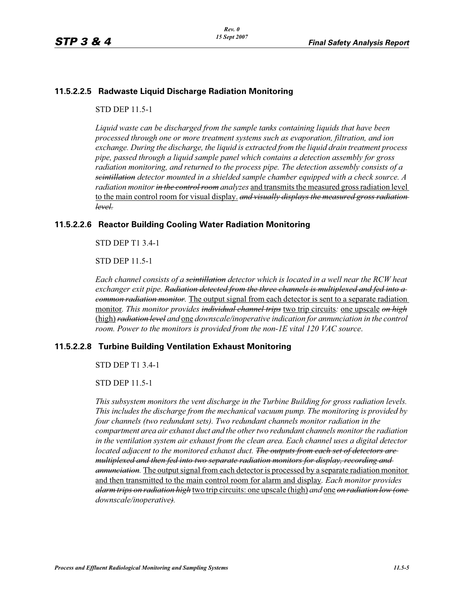# **11.5.2.2.5 Radwaste Liquid Discharge Radiation Monitoring**

STD DEP 11.5-1

*Liquid waste can be discharged from the sample tanks containing liquids that have been processed through one or more treatment systems such as evaporation, filtration, and ion exchange. During the discharge, the liquid is extracted from the liquid drain treatment process pipe, passed through a liquid sample panel which contains a detection assembly for gross radiation monitoring, and returned to the process pipe. The detection assembly consists of a scintillation detector mounted in a shielded sample chamber equipped with a check source. A radiation monitor in the control room analyzes* and transmits the measured gross radiation level to the main control room for visual display. *and visually displays the measured gross radiation level.*

# **11.5.2.2.6 Reactor Building Cooling Water Radiation Monitoring**

STD DEP T1 3.4-1

STD DEP 11.5-1

*Each channel consists of a scintillation detector which is located in a well near the RCW heat exchanger exit pipe. Radiation detected from the three channels is multiplexed and fed into a common radiation monitor.* The output signal from each detector is sent to a separate radiation monitor*. This monitor provides individual channel trips* two trip circuits*:* one upscale *on high* (high) *radiation level and* one *downscale/inoperative indication for annunciation in the control room. Power to the monitors is provided from the non-1E vital 120 VAC source*.

# **11.5.2.2.8 Turbine Building Ventilation Exhaust Monitoring**

STD DEP T1 3.4-1

STD DEP 11.5-1

*This subsystem monitors the vent discharge in the Turbine Building for gross radiation levels. This includes the discharge from the mechanical vacuum pump. The monitoring is provided by four channels (two redundant sets). Two redundant channels monitor radiation in the compartment area air exhaust duct and the other two redundant channels monitor the radiation in the ventilation system air exhaust from the clean area. Each channel uses a digital detector located adjacent to the monitored exhaust duct. The outputs from each set of detectors are multiplexed and then fed into two separate radiation monitors for display, recording and annunciation.* The output signal from each detector is processed by a separate radiation monitor and then transmitted to the main control room for alarm and display*. Each monitor provides alarm trips on radiation high* two trip circuits: one upscale (high) *and* one *on radiation low (one downscale/inoperative).*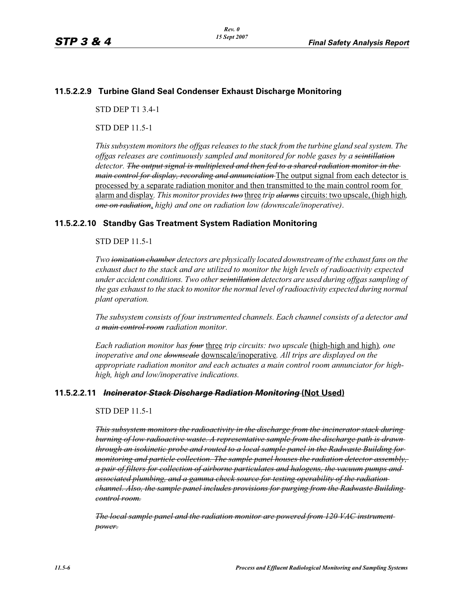# **11.5.2.2.9 Turbine Gland Seal Condenser Exhaust Discharge Monitoring**

STD DEP T1 3.4-1

STD DEP 11.5-1

*This subsystem monitors the offgas releases to the stack from the turbine gland seal system. The offgas releases are continuously sampled and monitored for noble gases by a scintillation detector. The output signal is multiplexed and then fed to a shared radiation monitor in the main control for display, recording and annunciation* The output signal from each detector is processed by a separate radiation monitor and then transmitted to the main control room for alarm and display*. This monitor provides two* three *trip alarms* circuits: two upscale, (high high*, one on radiation*, *high) and one on radiation low (downscale/inoperative)*.

# **11.5.2.2.10 Standby Gas Treatment System Radiation Monitoring**

### STD DEP 11.5-1

*Two ionization chamber detectors are physically located downstream of the exhaust fans on the exhaust duct to the stack and are utilized to monitor the high levels of radioactivity expected under accident conditions. Two other scintillation detectors are used during offgas sampling of the gas exhaust to the stack to monitor the normal level of radioactivity expected during normal plant operation.*

*The subsystem consists of four instrumented channels. Each channel consists of a detector and a main control room radiation monitor.*

*Each radiation monitor has four* three *trip circuits: two upscale* (high-high and high)*, one inoperative and one downscale* downscale/inoperative*. All trips are displayed on the appropriate radiation monitor and each actuates a main control room annunciator for highhigh, high and low/inoperative indications.*

# **11.5.2.2.11** *Incinerator Stack Discharge Radiation Monitoring* **(Not Used)**

#### STD DEP 11.5-1

*This subsystem monitors the radioactivity in the discharge from the incinerator stack during burning of low radioactive waste. A representative sample from the discharge path is drawn through an isokinetic probe and routed to a local sample panel in the Radwaste Building for monitoring and particle collection. The sample panel houses the radiation detector assembly, a pair of filters for collection of airborne particulates and halogens, the vacuum pumps and associated plumbing, and a gamma check source for testing operability of the radiation channel. Also, the sample panel includes provisions for purging from the Radwaste Building control room.*

*The local sample panel and the radiation monitor are powered from 120 VAC instrument power.*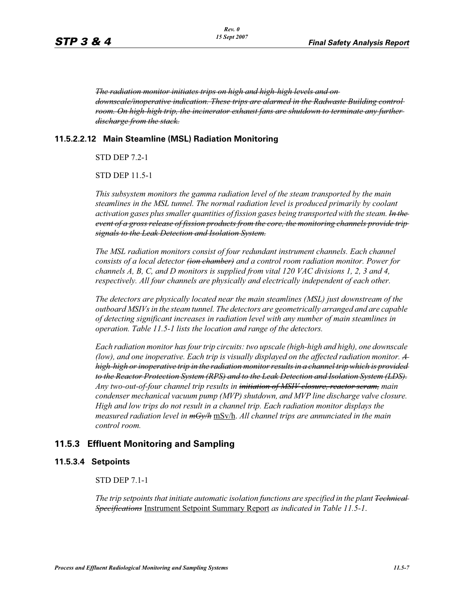*The radiation monitor initiates trips on high and high-high levels and on downscale/inoperative indication. These trips are alarmed in the Radwaste Building control room. On high-high trip, the incinerator exhaust fans are shutdown to terminate any further discharge from the stack.*

# **11.5.2.2.12 Main Steamline (MSL) Radiation Monitoring**

STD DEP 7.2-1

STD DEP 11.5-1

*This subsystem monitors the gamma radiation level of the steam transported by the main steamlines in the MSL tunnel. The normal radiation level is produced primarily by coolant activation gases plus smaller quantities of fission gases being transported with the steam. In the event of a gross release of fission products from the core, the monitoring channels provide trip signals to the Leak Detection and Isolation System.*

*The MSL radiation monitors consist of four redundant instrument channels. Each channel consists of a local detector (ion chamber) and a control room radiation monitor. Power for channels A, B, C, and D monitors is supplied from vital 120 VAC divisions 1, 2, 3 and 4, respectively. All four channels are physically and electrically independent of each other.*

*The detectors are physically located near the main steamlines (MSL) just downstream of the outboard MSIVs in the steam tunnel. The detectors are geometrically arranged and are capable of detecting significant increases in radiation level with any number of main steamlines in operation. Table 11.5-1 lists the location and range of the detectors.*

*Each radiation monitor has four trip circuits: two upscale (high-high and high), one downscale (low), and one inoperative. Each trip is visually displayed on the affected radiation monitor. A high-high or inoperative trip in the radiation monitor results in a channel trip which is provided to the Reactor Protection System (RPS) and to the Leak Detection and Isolation System (LDS). Any two-out-of-four channel trip results in initiation of MSIV closure, reactor scram, main condenser mechanical vacuum pump (MVP) shutdown, and MVP line discharge valve closure. High and low trips do not result in a channel trip. Each radiation monitor displays the measured radiation level in mGy/h* mSv/h. *All channel trips are annunciated in the main control room.*

# **11.5.3 Effluent Monitoring and Sampling**

#### **11.5.3.4 Setpoints**

STD DEP 7.1-1

*The trip setpoints that initiate automatic isolation functions are specified in the plant Technical Specifications* Instrument Setpoint Summary Report *as indicated in Table 11.5-1*.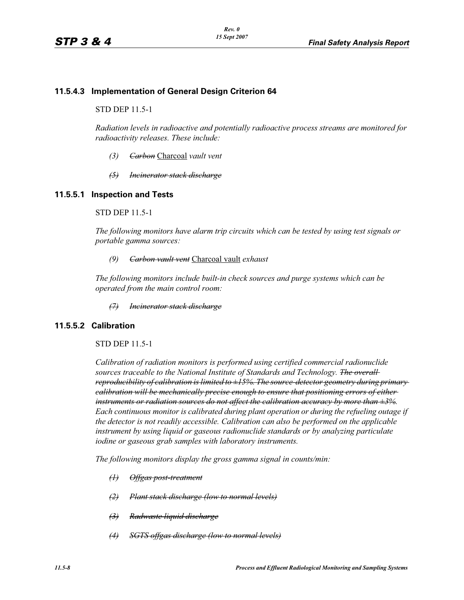# **11.5.4.3 Implementation of General Design Criterion 64**

### STD DEP 11.5-1

*Radiation levels in radioactive and potentially radioactive process streams are monitored for radioactivity releases. These include:*

- *(3) Carbon* Charcoal *vault vent*
- *(5) Incinerator stack discharge*

# **11.5.5.1 Inspection and Tests**

#### STD DEP 11.5-1

*The following monitors have alarm trip circuits which can be tested by using test signals or portable gamma sources:*

*(9) Carbon vault vent* Charcoal vault *exhaust*

*The following monitors include built-in check sources and purge systems which can be operated from the main control room:*

*(7) Incinerator stack discharge*

# **11.5.5.2 Calibration**

# STD DEP 11.5-1

*Calibration of radiation monitors is performed using certified commercial radionuclide sources traceable to the National Institute of Standards and Technology. The overall reproducibility of calibration is limited to ±15%. The source-detector geometry during primary calibration will be mechanically precise enough to ensure that positioning errors of either instruments or radiation sources do not affect the calibration accuracy by more than ±3%. Each continuous monitor is calibrated during plant operation or during the refueling outage if the detector is not readily accessible. Calibration can also be performed on the applicable instrument by using liquid or gaseous radionuclide standards or by analyzing particulate iodine or gaseous grab samples with laboratory instruments.*

*The following monitors display the gross gamma signal in counts/min:*

- *(1) Offgas post-treatment*
- *(2) Plant stack discharge (low to normal levels)*
- *(3) Radwaste liquid discharge*
- *(4) SGTS offgas discharge (low to normal levels)*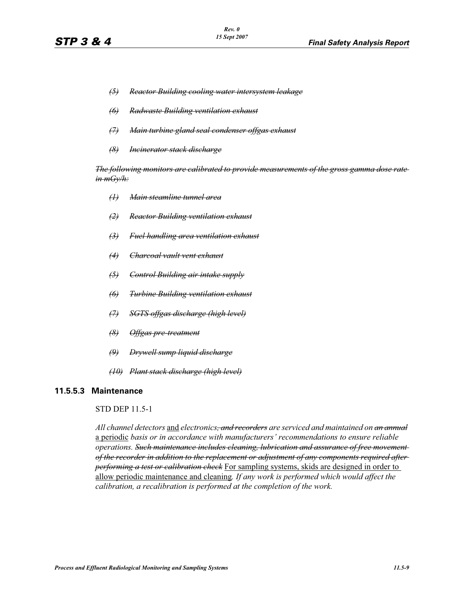- *(5) Reactor Building cooling water intersystem leakage*
- *(6) Radwaste Building ventilation exhaust*
- *(7) Main turbine gland seal condenser offgas exhaust*
- *(8) Incinerator stack discharge*

*The following monitors are calibrated to provide measurements of the gross gamma dose rate in mGy/h:*

- *(1) Main steamline tunnel area*
- *(2) Reactor Building ventilation exhaust*
- *(3) Fuel handling area ventilation exhaust*
- *(4) Charcoal vault vent exhaust*
- *(5) Control Building air intake supply*
- *(6) Turbine Building ventilation exhaust*
- *(7) SGTS offgas discharge (high level)*
- *(8) Offgas pre-treatment*
- *(9) Drywell sump liquid discharge*
- *(10) Plant stack discharge (high level)*

#### **11.5.5.3 Maintenance**

### STD DEP 11.5-1

*All channel detectors* and *electronics, and recorders are serviced and maintained on an annual* a periodic *basis or in accordance with manufacturers' recommendations to ensure reliable operations. Such maintenance includes cleaning, lubrication and assurance of free movement of the recorder in addition to the replacement or adjustment of any components required after performing a test or calibration check* For sampling systems, skids are designed in order to allow periodic maintenance and cleaning*. If any work is performed which would affect the calibration, a recalibration is performed at the completion of the work.*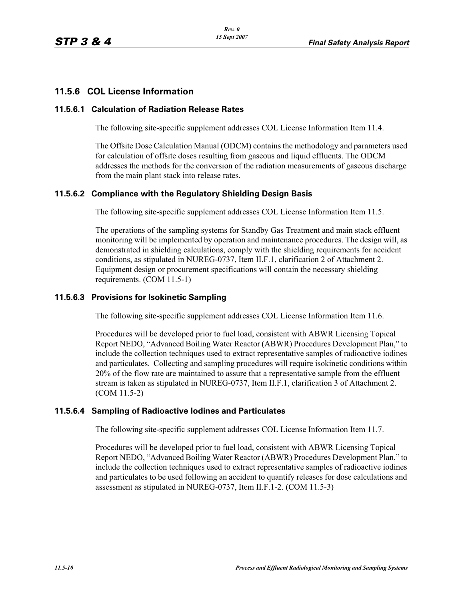# **11.5.6 COL License Information**

# **11.5.6.1 Calculation of Radiation Release Rates**

The following site-specific supplement addresses COL License Information Item 11.4.

The Offsite Dose Calculation Manual (ODCM) contains the methodology and parameters used for calculation of offsite doses resulting from gaseous and liquid effluents. The ODCM addresses the methods for the conversion of the radiation measurements of gaseous discharge from the main plant stack into release rates.

# **11.5.6.2 Compliance with the Regulatory Shielding Design Basis**

The following site-specific supplement addresses COL License Information Item 11.5.

The operations of the sampling systems for Standby Gas Treatment and main stack effluent monitoring will be implemented by operation and maintenance procedures. The design will, as demonstrated in shielding calculations, comply with the shielding requirements for accident conditions, as stipulated in NUREG-0737, Item II.F.1, clarification 2 of Attachment 2. Equipment design or procurement specifications will contain the necessary shielding requirements. (COM 11.5-1)

# **11.5.6.3 Provisions for Isokinetic Sampling**

The following site-specific supplement addresses COL License Information Item 11.6.

Procedures will be developed prior to fuel load, consistent with ABWR Licensing Topical Report NEDO, "Advanced Boiling Water Reactor (ABWR) Procedures Development Plan," to include the collection techniques used to extract representative samples of radioactive iodines and particulates. Collecting and sampling procedures will require isokinetic conditions within 20% of the flow rate are maintained to assure that a representative sample from the effluent stream is taken as stipulated in NUREG-0737, Item II.F.1, clarification 3 of Attachment 2. (COM 11.5-2)

# **11.5.6.4 Sampling of Radioactive Iodines and Particulates**

The following site-specific supplement addresses COL License Information Item 11.7.

Procedures will be developed prior to fuel load, consistent with ABWR Licensing Topical Report NEDO, "Advanced Boiling Water Reactor (ABWR) Procedures Development Plan," to include the collection techniques used to extract representative samples of radioactive iodines and particulates to be used following an accident to quantify releases for dose calculations and assessment as stipulated in NUREG-0737, Item II.F.1-2. (COM 11.5-3)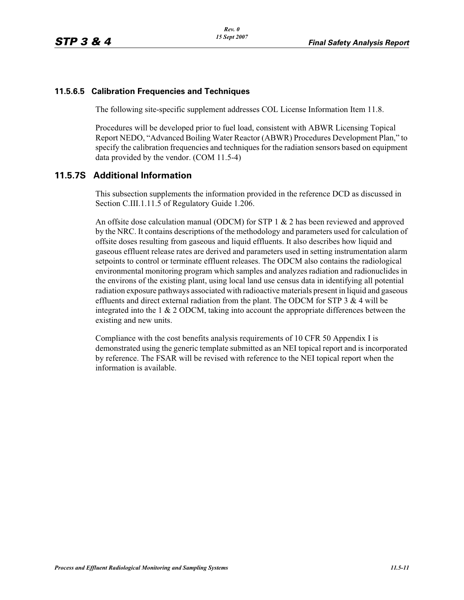# **11.5.6.5 Calibration Frequencies and Techniques**

The following site-specific supplement addresses COL License Information Item 11.8.

Procedures will be developed prior to fuel load, consistent with ABWR Licensing Topical Report NEDO, "Advanced Boiling Water Reactor (ABWR) Procedures Development Plan," to specify the calibration frequencies and techniques for the radiation sensors based on equipment data provided by the vendor. (COM 11.5-4)

# **11.5.7S Additional Information**

This subsection supplements the information provided in the reference DCD as discussed in Section C.III.1.11.5 of Regulatory Guide 1.206.

An offsite dose calculation manual (ODCM) for STP 1 & 2 has been reviewed and approved by the NRC. It contains descriptions of the methodology and parameters used for calculation of offsite doses resulting from gaseous and liquid effluents. It also describes how liquid and gaseous effluent release rates are derived and parameters used in setting instrumentation alarm setpoints to control or terminate effluent releases. The ODCM also contains the radiological environmental monitoring program which samples and analyzes radiation and radionuclides in the environs of the existing plant, using local land use census data in identifying all potential radiation exposure pathways associated with radioactive materials present in liquid and gaseous effluents and direct external radiation from the plant. The ODCM for STP  $3 \& 4$  will be integrated into the 1 & 2 ODCM, taking into account the appropriate differences between the existing and new units.

Compliance with the cost benefits analysis requirements of 10 CFR 50 Appendix I is demonstrated using the generic template submitted as an NEI topical report and is incorporated by reference. The FSAR will be revised with reference to the NEI topical report when the information is available.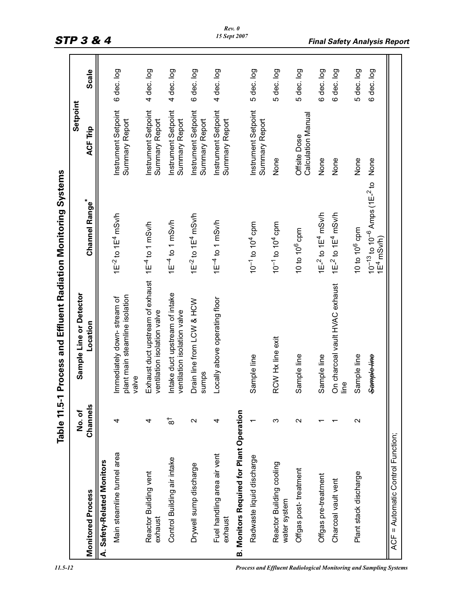|                                                 | No.of              | Sample Line or Detector                                               |                                                                                  | Setpoint                                  |            |
|-------------------------------------------------|--------------------|-----------------------------------------------------------------------|----------------------------------------------------------------------------------|-------------------------------------------|------------|
| <b>Monitored Process</b>                        | Channels           | Location                                                              | <b>Channel Range<sup>*</sup></b>                                                 | ACF Trip                                  | Scale      |
| A. Safety-Related Monitors                      |                    |                                                                       |                                                                                  |                                           |            |
| Main steamline tunnel area                      | 4                  | plant main steamline isolation<br>Immediately down-stream of<br>valve | 1E <sup>-2</sup> to 1E <sup>4</sup> mSv/h                                        | Instrument Setpoint<br>Summary Report     | 6 dec. log |
| Reactor Building vent<br>exhaust                | 4                  | Exhaust duct upstream of exhaust<br>ventilation isolation valve       | 1E <sup>-4</sup> to 1 mSv/h                                                      | Instrument Setpoint<br>Summary Report     | 4 dec. log |
| Control Building air intake                     | $\frac{1}{\infty}$ | Intake duct upstream of intake<br>ventilation isolation valve         | $1E^{-4}$ to 1 mSv/h                                                             | Instrument Setpoint<br>Summary Report     | 4 dec. log |
| Drywell sump discharge                          | $\sim$             | Drain line from LCW & HCW<br>sumps                                    | 1E <sup>-2</sup> to 1E <sup>4</sup> mSv/h                                        | Instrument Setpoint<br>Summary Report     | 6 dec. log |
| Fuel handling area air vent<br>exhaust          | 4                  | Locally above operating floor                                         | $1E^{-4}$ to 1 mSv/h                                                             | Instrument Setpoint<br>Summary Report     | 4 dec. log |
| <b>B. Monitors Required for Plant Operation</b> |                    |                                                                       |                                                                                  |                                           |            |
| Radwaste liquid discharge                       |                    | Sample line                                                           | $10^{-1}$ to $10^4$ cpm                                                          | Instrument Setpoint<br>Summary Report     | 5 dec. log |
| Reactor Building cooling<br>water system        | ς                  | RCW Hx line exit                                                      | $10^{-1}$ to $10^4$ cpm                                                          | None                                      | 5 dec. log |
| Offgas post-treatment                           | $\mathbf{\Omega}$  | Sample line                                                           | 10 to 10 <sup>6</sup> cpm                                                        | <b>Calculation Manual</b><br>Offsite Dose | 5 dec. log |
| Offgas pre-treatment                            |                    | Sample line                                                           | $1E^{-2}$ to $1E^{4}$ mSv/h                                                      | None                                      | 6 dec. log |
| Charcoal vault vent                             |                    | On charcoal vault HVAC exhaust<br>line                                | $1E^{-2}$ to $1E^{4}$ mSv/h                                                      | None                                      | 6 dec. log |
| Plant stack discharge                           | $\mathbf{\Omega}$  | Sample line                                                           | 10 to 10 <sup>6</sup> cpm                                                        | None                                      | 5 dec. log |
|                                                 |                    | Sample line                                                           | $10^{-13}$ to $10^{-6}$ Amps (1E- <sup>2</sup> to None<br>íE <sup>4</sup> mSv/h) |                                           | 6 dec. log |

*11.5-12 Process and Effluent Radiological Monitoring and Sampling Systems*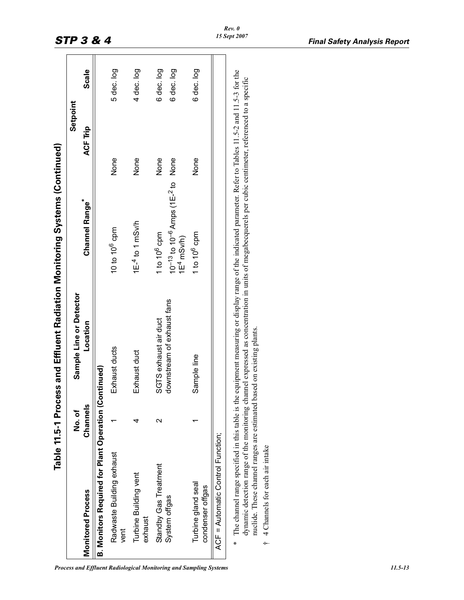|                                                                                                                           |                    | Table 11.5-1 Process and Effluent Radiation Monitoring Systems (Continued)                                                                                                                                                                                                                                            |                                                                                            |                 |                          |
|---------------------------------------------------------------------------------------------------------------------------|--------------------|-----------------------------------------------------------------------------------------------------------------------------------------------------------------------------------------------------------------------------------------------------------------------------------------------------------------------|--------------------------------------------------------------------------------------------|-----------------|--------------------------|
|                                                                                                                           | No.of              | Sample Line or Detector                                                                                                                                                                                                                                                                                               |                                                                                            | Setpoint        |                          |
| <b>Monitored Process</b>                                                                                                  | Channels           | Location                                                                                                                                                                                                                                                                                                              | <b>Channel Range</b>                                                                       | <b>ACF Trip</b> | Scale                    |
| <b>B. Monitors Required for Plant Operation (Continued)</b>                                                               |                    |                                                                                                                                                                                                                                                                                                                       |                                                                                            |                 |                          |
| Radwaste Building exhaust<br>vent                                                                                         |                    | Exhaust ducts                                                                                                                                                                                                                                                                                                         | 10 to 10 <sup>6</sup> cpm                                                                  | None            | 5 dec. log               |
| Turbine Building vent<br>exhaust                                                                                          | 4                  | Exhaust duct                                                                                                                                                                                                                                                                                                          | $1E^{-4}$ to 1 mSv/h                                                                       | None            | 4 dec. log               |
| Standby Gas Treatment<br>System offgas                                                                                    | $\scriptstyle\sim$ | downstream of exhaust fans<br>SGTS exhaust air duct                                                                                                                                                                                                                                                                   | $10^{-13}$ to $10^{-6}$ Amps (1E- <sup>2</sup> to None<br>1 to $10^6$ cpm<br>$1E^4$ mSv/h) | None            | 6 dec. log<br>6 dec. log |
| Turbine gland seal<br>condenser offgas                                                                                    |                    | Sample line                                                                                                                                                                                                                                                                                                           | 1 to $10^6$ cpm                                                                            | None            | 6 dec. log               |
| ACF = Automatic Control Function;                                                                                         |                    |                                                                                                                                                                                                                                                                                                                       |                                                                                            |                 |                          |
| nuclide. These channel ranges are estimated based on existing plants.<br><sup>†</sup> 4 Channels for each air intake<br>∗ |                    | The channel range specified in this table is the equipment measuring or display range of the indicated parameter. Refer to Tables 11.5-2 and 11.5-3 for the<br>dynamic detection range of the monitoring channel expressed as concentration in units of megabecquerels per cubic centimeter, referenced to a specific |                                                                                            |                 |                          |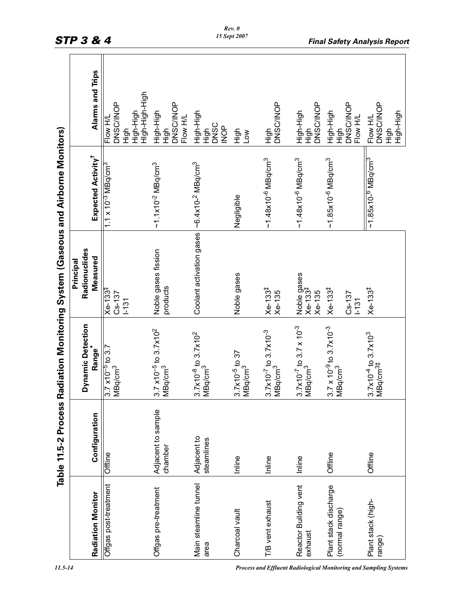|                                         |                               |                                                                                                       | Table 11.5-2 Process Radiation Monitoring System (Gaseous and Airborne Monitors) |                                                  |                                                                |
|-----------------------------------------|-------------------------------|-------------------------------------------------------------------------------------------------------|----------------------------------------------------------------------------------|--------------------------------------------------|----------------------------------------------------------------|
|                                         |                               | <b>Dynamic Detection</b>                                                                              | Radionuclides<br>Principal                                                       |                                                  |                                                                |
| <b>Radiation Monitor</b>                | Configuration                 | Range <sup>*</sup>                                                                                    | <b>Measured</b>                                                                  | Expected Activity <sup>†</sup>                   | <b>Alarms and Trips</b>                                        |
| Offgas post-treatment                   | Offline                       | $\frac{3.7\times10^{-5} \text{ to } 3.7}{\text{MBq/cm}^3}$                                            | $Xe-133‡$<br>$Cs - 137$<br>131                                                   | $1.1 \times 10^{-3}$ MBq/cm $^3$                 | Hoh-High-High<br>DNSC/INOP<br>High-High<br>Flow H/L<br>오.<br>도 |
| Offgas pre-treatment                    | Adjacent to sample<br>chamber | $13.7\times10^{-5}$ to $3.7\times10^{2}$<br>MBq/cm $^{3}$                                             | Noble gases fission<br>products                                                  | $~1.1 \times 10^{-2}$ MBq/cm <sup>3</sup>        | <b>DNSC/INOP</b><br>High-High<br>Flow H/L<br>High              |
| Main steamline tunnel<br>area           | Adjacent to<br>steamlines     | $\begin{vmatrix} 3.7 \times 10^{-8} \text{ to } 3.7 \times 10^{2} \\ \text{MBq/cm}^{3} \end{vmatrix}$ | Coolant activation gases -6.4x10-2 MBq/cm <sup>3</sup>                           |                                                  | High-High<br><b>DNSC</b><br><b>AOK</b><br>동<br>도               |
| Charcoal vault                          | Inline                        | $\begin{array}{l} \n 3.7 \times 10^{-5} \text{ to } 37 \\ \hline\n \text{MBq/cm}^3\n \end{array}$     | Noble gases                                                                      | Negligible                                       | High<br>$\sum_{i=1}^{\infty}$                                  |
| T/B vent exhaust                        | Inline                        | $3.7$ x10 <sup>-7</sup> to $3.7$ x10 <sup>-3</sup><br>MBq/cm <sup>3</sup>                             | $Xe-133^{\ddagger}$<br>$Xe-135$                                                  | $~1.48\times10^{6}$ MBq/cm <sup>3</sup>          | <b>DNSC/INOP</b><br>)<br>도구<br>도구                              |
| Reactor Building vent<br>exhaust        | Inline                        | $3.7$ x10 <sup>-7</sup> to $3.7 \times 10^{-3}$<br>MBq/cm <sup>3</sup>                                | Noble gases<br>Xe-133 <sup>‡</sup><br>Xe-135                                     | $~1.48 \times 10^{-6}$ MBq/cm <sup>3</sup>       | High<br>DNSC/INOP<br>High-High                                 |
| Plant stack discharge<br>(normal range) | Offline                       | $\frac{\left 3.7\times10^{-9}\right }{\text{MBq/cm}^3}$                                               | $Xe-133‡$<br>$Cs - 137$<br>131                                                   | $\sim$ 1.85x10 <sup>-6</sup> MBq/cm <sup>3</sup> | <b>DNSC/INOP</b><br>High-High<br>High<br>Flow H/L              |
| Plant stack (high-<br>range)            | Offline                       | $3.7 \times 10^{-4}$ to $3.7 \times 10^{3}$<br>MBq/cm <sup>3‡</sup>                                   | $Xe-133^{\ddagger}$                                                              | $\sim$ 1.85x10- $^6$ MBq/cm $^3$                 | DNSC/INOP<br>High<br>High-High<br>Flow H/L                     |

*11.5-14 Process and Effluent Radiological Monitoring and Sampling Systems*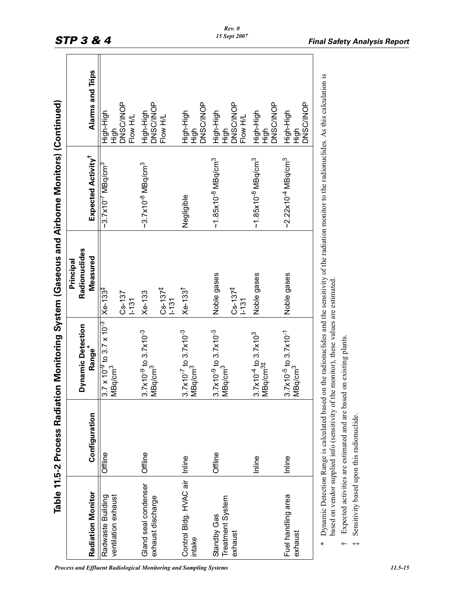|                                          | Table 11.5-2 Process Radiatio                                                                                    |                                                                                        | on Monitoring System (Gaseous and Airborne Monitors) (Continued)                                                                                           |                                                                   |                                        |
|------------------------------------------|------------------------------------------------------------------------------------------------------------------|----------------------------------------------------------------------------------------|------------------------------------------------------------------------------------------------------------------------------------------------------------|-------------------------------------------------------------------|----------------------------------------|
|                                          |                                                                                                                  |                                                                                        | Principal                                                                                                                                                  |                                                                   |                                        |
|                                          |                                                                                                                  | <b>Dynamic Detection</b>                                                               | Radionuclides                                                                                                                                              |                                                                   |                                        |
| <b>Radiation Monitor</b>                 | Configuration                                                                                                    | Range <sup>'</sup>                                                                     | Measured                                                                                                                                                   | Expected Activity <sup>1</sup>                                    | <b>Alarms and Trips</b>                |
| Radwaste Building<br>ventilation exhaust | Offline                                                                                                          | $3.7 \times 10^{-9}$ to $3.7 \times 10^{-3}$<br>MBq/cm <sup>3</sup>                    | $Xe-133†$                                                                                                                                                  | $\sim$ 3.7x10 <sup>-<math>\prime</math></sup> MBq/cm <sup>3</sup> | High-High                              |
|                                          |                                                                                                                  |                                                                                        | $Cs - 137$<br>131                                                                                                                                          |                                                                   | High<br>DNSC/INOP<br>Flow H/L          |
| Gland seal condenser                     | Offline                                                                                                          | $3.7x10^{-9}$ to $3.7x10^{-3}$                                                         | $Xe-133$                                                                                                                                                   | $-3.7x10^{-8}$ MBq/cm <sup>3</sup>                                | <b>DNSC/INOP</b><br>High-High          |
| exhaust discharge                        |                                                                                                                  | MBq/cm <sup>3</sup>                                                                    | $Cs - 137‡$<br>$-131$                                                                                                                                      |                                                                   | Flow H/L                               |
| Control Bldg. HVAC air<br>intake         | Inline                                                                                                           | $3.7 \times 10^{-7}$ to $3.7 \times 10^{-3}$<br>MBq/cm $^3$                            | $Xe-133^{\dagger}$                                                                                                                                         | Negligible                                                        | High<br>DNSC/INOP<br>High-High         |
| Treatment System<br>Standby Gas          | Offline                                                                                                          | $\frac{3.7 \times 10^{-9} \text{ to } 3.7 \times 10^{-3}}{\text{MBq/cm}^3}$            | Noble gases                                                                                                                                                | $~1.85x10^{5}$ MBq/cm <sup>3</sup>                                | High-High                              |
| exhaust                                  |                                                                                                                  |                                                                                        | $Cs - 137^{\ddagger}$<br>131                                                                                                                               |                                                                   | <b>DNSC/INOP</b><br>Flow H/L<br>동<br>고 |
|                                          | Inline                                                                                                           | $3.7x10^{-4}$ to $3.7x10^{3}$<br>MBq/cm <sup>3‡</sup>                                  | Noble gases                                                                                                                                                | $~1.85 \times 10^{-8}$ MBq/cm <sup>3</sup>                        | High-High<br>High<br>DNSC/INOP         |
| Fuel handling area<br>exhaust            | Inline                                                                                                           | $3.7$ x10 <sup>-5</sup> to $3.7$ x10 <sup>-1</sup><br>MBq/cm <sup>3</sup>              | Noble gases                                                                                                                                                | $-2.22x10^{-4}$ MBq/cm <sup>3</sup>                               | <b>DNSC/INOP</b><br>High-High<br>High  |
| ¥                                        | Expected activities are estimated and are based on existing plants.<br>Sensitivity based upon this radionuclide. | based on vendor supplied info (sensitivity of the monitor), these values are estimated | Dynamic Detection Range is calculated based on the radionuclides and the sensitivity of the radiation monitor to the radionuclides. As this calculation is |                                                                   |                                        |

*Process and Effluent Radiological Monitoring and Sampling Systems 11.5-15*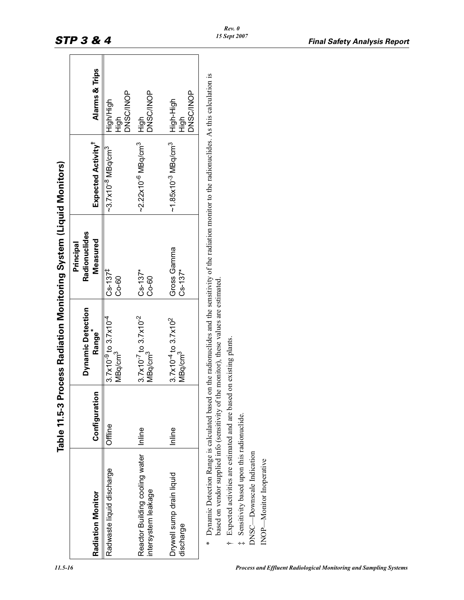|                                                                                                                                                                                                                                                         |               | Table 11.5-3 Process Radiation Monitoring System (Liquid Monitors) |                                        |                                              |                                       |
|---------------------------------------------------------------------------------------------------------------------------------------------------------------------------------------------------------------------------------------------------------|---------------|--------------------------------------------------------------------|----------------------------------------|----------------------------------------------|---------------------------------------|
| Radiation Monitor                                                                                                                                                                                                                                       | Configuration | <b>Dynamic Detection</b><br>Range                                  | Radionuclides<br>Measured<br>Principal | Expected Activity <sup>1</sup>               | Alarms & Trips                        |
| Radwaste liquid discharge                                                                                                                                                                                                                               | Offline       | $3.7x10^{-9}$ to $3.7x10^{-4}$<br>MBq/cm <sup>3</sup>              | $Cs - 137‡$<br>$C_0 - 60$              | $-3.7$ x10 <sup>-8</sup> MBq/cm <sup>3</sup> | DNSC/INOP<br>High/High<br>High        |
| Reactor Building cooling water<br>intersystem leakage                                                                                                                                                                                                   | Inline        | $3.7x10^{-7}$ to $3.7x10^{-2}$<br>MBq/cm <sup>3</sup>              | $Cs - 137*$<br>Co-60                   | $-2.22 \times 10^{-6}$ MBq/cm <sup>3</sup>   | <b>PONINOP</b><br>High                |
| Drywell sump drain liquid<br>discharge                                                                                                                                                                                                                  | Inline        | $3.7x10^{-4}$ to $3.7x10^{2}$<br>MBq/cm <sup>3</sup>               | Gross Gamma<br>$Cs - 137*$             | $~1.85 \times 10^{-3}$ MBq/cm <sup>3</sup>   | <b>DNSC/INOP</b><br>High-High<br>High |
| * Dynamic Detection Range is calculated based on the radionuclides and the sensitivity of the radiation monitor to the radionuclides. As this calculation is<br>based on vendor supplied info (sensitivity of the monitor), these values are estimated. |               |                                                                    |                                        |                                              |                                       |
| <sup>†</sup> Expected activities are estimated and are based                                                                                                                                                                                            |               | on existing plants.                                                |                                        |                                              |                                       |
| # Sensitivity based upon this radionuclide.                                                                                                                                                                                                             |               |                                                                    |                                        |                                              |                                       |
| DNSC-Downscale Indication                                                                                                                                                                                                                               |               |                                                                    |                                        |                                              |                                       |
| INOP-Monitor Inoperative                                                                                                                                                                                                                                |               |                                                                    |                                        |                                              |                                       |